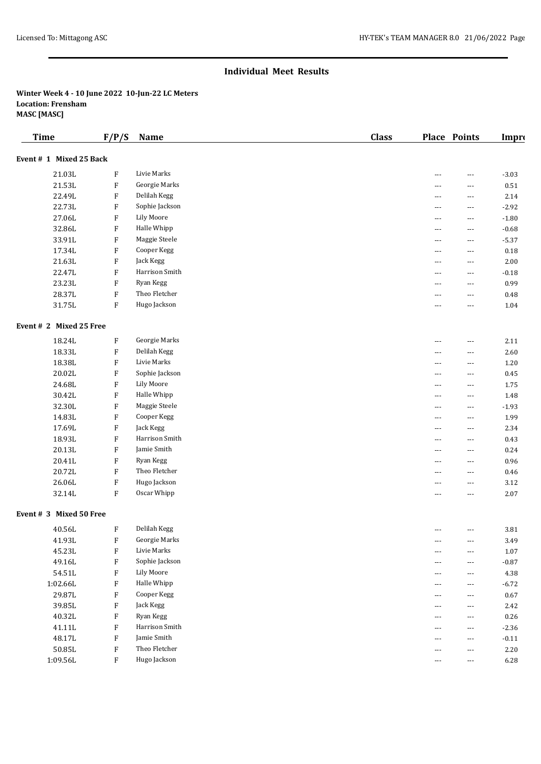## **Individual Meet Results**

## **Winter Week 4 - 10 June 2022 10-Jun-22 LC Meters Location: Frensham MASC [MASC]**

| <b>Time</b>             | F/P/S                     | Name              | <b>Class</b> |          | Place Points | Impro    |
|-------------------------|---------------------------|-------------------|--------------|----------|--------------|----------|
| Event # 1 Mixed 25 Back |                           |                   |              |          |              |          |
| 21.03L                  | F                         | Livie Marks       |              | ---      | ---          | $-3.03$  |
| 21.53L                  | F                         | Georgie Marks     |              | ---      | ---          | 0.51     |
| 22.49L                  | F                         | Delilah Kegg      |              | ---      | ---          | 2.14     |
| 22.73L                  | F                         | Sophie Jackson    |              | ---      | ---          | $-2.92$  |
| 27.06L                  | F                         | <b>Lily Moore</b> |              | ---      | ---          | $-1.80$  |
| 32.86L                  | F                         | Halle Whipp       |              | ---      | ---          | $-0.68$  |
| 33.91L                  | F                         | Maggie Steele     |              | ---      | ---          | $-5.37$  |
| 17.34L                  | F                         | Cooper Kegg       |              | ---      | ---          | 0.18     |
| 21.63L                  | F                         | Jack Kegg         |              | ---      | ---          | 2.00     |
| 22.47L                  | F                         | Harrison Smith    |              | ---      | ---          | $-0.18$  |
| 23.23L                  | F                         | Ryan Kegg         |              | ---      | ---          | 0.99     |
| 28.37L                  | F                         | Theo Fletcher     |              | ---      | ---          | 0.48     |
| 31.75L                  | F                         | Hugo Jackson      |              | ---      | ---          | 1.04     |
| Event # 2 Mixed 25 Free |                           |                   |              |          |              |          |
| 18.24L                  | F                         | Georgie Marks     |              | ---      | ---          | 2.11     |
| 18.33L                  | F                         | Delilah Kegg      |              | ---      | ---          | 2.60     |
| 18.38L                  | F                         | Livie Marks       |              | ---      | ---          | 1.20     |
| 20.02L                  | F                         | Sophie Jackson    |              | ---      | ---          | 0.45     |
| 24.68L                  | F                         | <b>Lily Moore</b> |              | ---      | ---          | 1.75     |
| 30.42L                  | F                         | Halle Whipp       |              | ---      | ---          | 1.48     |
| 32.30L                  | F                         | Maggie Steele     |              | ---      | ---          | $-1.93$  |
| 14.83L                  | F                         | Cooper Kegg       |              | ---      | ---          | 1.99     |
| 17.69L                  | F                         | Jack Kegg         |              | ---      | ---          | 2.34     |
| 18.93L                  | F                         | Harrison Smith    |              | ---      | ---          | 0.43     |
| 20.13L                  | F                         | Jamie Smith       |              | ---      | ---          | 0.24     |
| 20.41L                  | F                         | Ryan Kegg         |              | ---      | ---          | 0.96     |
| 20.72L                  | F                         | Theo Fletcher     |              | ---      | ---          | 0.46     |
| 26.06L                  | F                         | Hugo Jackson      |              | ---      | ---          | 3.12     |
| 32.14L                  | F                         | Oscar Whipp       |              | ---      | $\cdots$     | 2.07     |
| Event # 3 Mixed 50 Free |                           |                   |              |          |              |          |
| 40.56L                  | F                         | Delilah Kegg      |              | $\cdots$ | $\cdots$     | 3.81     |
| 41.93L                  | $\boldsymbol{\mathrm{F}}$ | Georgie Marks     |              | $---$    | ---          | 3.49     |
| 45.23L                  | $\boldsymbol{\mathrm{F}}$ | Livie Marks       |              | $---$    | ---          | 1.07     |
| 49.16L                  | $\boldsymbol{\mathrm{F}}$ | Sophie Jackson    |              | $---$    | ---          | $-0.87$  |
| 54.51L                  | F                         | <b>Lily Moore</b> |              | $---$    | ---          | 4.38     |
| 1:02.66L                | F                         | Halle Whipp       |              | $---$    | $---$        | $-6.72$  |
| 29.87L                  | F                         | Cooper Kegg       |              | $\cdots$ | ---          | $0.67\,$ |
| 39.85L                  | $\boldsymbol{\mathrm{F}}$ | Jack Kegg         |              | $---$    | $---$        | 2.42     |
| 40.32L                  | F                         | Ryan Kegg         |              | $\cdots$ | ---          | 0.26     |
| 41.11L                  | $\boldsymbol{\mathrm{F}}$ | Harrison Smith    |              | $---$    | $---$        | $-2.36$  |
| 48.17L                  | F                         | Jamie Smith       |              | $---$    | $\cdots$     | $-0.11$  |
| 50.85L                  | $\boldsymbol{\mathrm{F}}$ | Theo Fletcher     |              | $---$    | $---$        | 2.20     |
| 1:09.56L                | F                         | Hugo Jackson      |              | $\cdots$ | $\cdots$     | 6.28     |